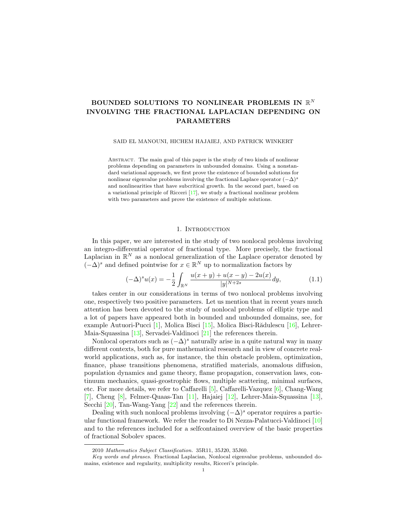# BOUNDED SOLUTIONS TO NONLINEAR PROBLEMS IN  $\mathbb{R}^N$ INVOLVING THE FRACTIONAL LAPLACIAN DEPENDING ON PARAMETERS

SAID EL MANOUNI, HICHEM HAJAIEJ, AND PATRICK WINKERT

Abstract. The main goal of this paper is the study of two kinds of nonlinear problems depending on parameters in unbounded domains. Using a nonstandard variational approach, we first prove the existence of bounded solutions for nonlinear eigenvalue problems involving the fractional Laplace operator  $(-\Delta)^s$ and nonlinearities that have subcritical growth. In the second part, based on a variational principle of Ricceri [\[17\]](#page-15-0), we study a fractional nonlinear problem with two parameters and prove the existence of multiple solutions.

### 1. INTRODUCTION

In this paper, we are interested in the study of two nonlocal problems involving an integro-differential operator of fractional type. More precisely, the fractional Laplacian in  $\mathbb{R}^N$  as a nonlocal generalization of the Laplace operator denoted by  $(-\Delta)^s$  and defined pointwise for  $x \in \mathbb{R}^N$  up to normalization factors by

<span id="page-0-0"></span>
$$
(-\Delta)^s u(x) = -\frac{1}{2} \int_{\mathbb{R}^N} \frac{u(x+y) + u(x-y) - 2u(x)}{|y|^{N+2s}} dy,
$$
\n(1.1)

takes center in our considerations in terms of two nonlocal problems involving one, respectively two positive parameters. Let us mention that in recent years much attention has been devoted to the study of nonlocal problems of elliptic type and a lot of papers have appeared both in bounded and unbounded domains, see, for example Autuori-Pucci [\[1\]](#page-15-1), Molica Bisci [\[15\]](#page-15-2), Molica Bisci-Rădulescu [\[16\]](#page-15-3), Lehrer-Maia-Squassina [\[13\]](#page-15-4), Servadei-Valdinoci [\[21\]](#page-15-5) the references therein.

Nonlocal operators such as  $(-\Delta)^s$  naturally arise in a quite natural way in many different contexts, both for pure mathematical research and in view of concrete realworld applications, such as, for instance, the thin obstacle problem, optimization, finance, phase transitions phenomena, stratified materials, anomalous diffusion, population dynamics and game theory, flame propagation, conservation laws, continuum mechanics, quasi-geostrophic flows, multiple scattering, minimal surfaces, etc. For more details, we refer to Caffarelli  $[5]$ , Caffarelli-Vazquez  $[6]$ , Chang-Wang [\[7\]](#page-15-8), Cheng [\[8\]](#page-15-9), Felmer-Quaas-Tan [\[11\]](#page-15-10), Hajaiej [\[12\]](#page-15-11), Lehrer-Maia-Squassina [\[13\]](#page-15-4), Secchi [\[20\]](#page-15-12), Tan-Wang-Yang [\[22\]](#page-15-13) and the references therein.

Dealing with such nonlocal problems involving  $(-\Delta)^s$  operator requires a particular functional framework. We refer the reader to Di Nezza-Palatucci-Valdinoci [\[10\]](#page-15-14) and to the references included for a selfcontained overview of the basic properties of fractional Sobolev spaces.

<sup>2010</sup> Mathematics Subject Classification. 35R11, 35J20, 35J60.

Key words and phrases. Fractional Laplacian, Nonlocal eigenvalue problems, unbounded domains, existence and regularity, multiplicity results, Ricceri's principle.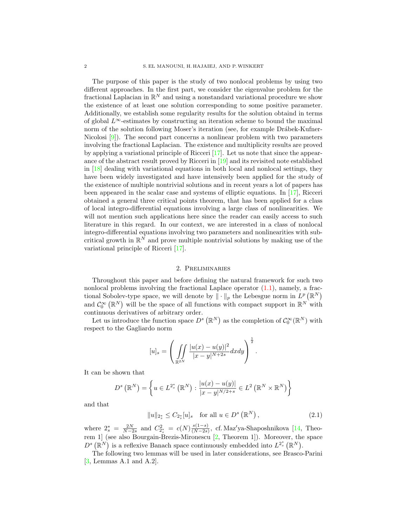The purpose of this paper is the study of two nonlocal problems by using two different approaches. In the first part, we consider the eigenvalue problem for the fractional Laplacian in  $\mathbb{R}^N$  and using a nonstandard variational procedure we show the existence of at least one solution corresponding to some positive parameter. Additionally, we establish some regularity results for the solution obtaind in terms of global  $L^{\infty}$ -estimates by constructing an iteration scheme to bound the maximal norm of the solution following Moser's iteration (see, for example Drábek-Kufner-Nicolosi [\[9\]](#page-15-15)). The second part concerns a nonlinear problem with two parameters involving the fractional Laplacian. The existence and multiplicity results are proved by applying a variational principle of Ricceri [\[17\]](#page-15-0). Let us note that since the appearance of the abstract result proved by Ricceri in [\[19\]](#page-15-16) and its revisited note established in [\[18\]](#page-15-17) dealing with variational equations in both local and nonlocal settings, they have been widely investigated and have intensively been applied for the study of the existence of multiple nontrivial solutions and in recent years a lot of papers has been appeared in the scalar case and systems of elliptic equations. In [\[17\]](#page-15-0), Ricceri obtained a general three critical points theorem, that has been applied for a class of local integro-differential equations involving a large class of nonlinearities. We will not mention such applications here since the reader can easily access to such literature in this regard. In our context, we are interested in a class of nonlocal integro-differential equations involving two parameters and nonlinearities with subcritical growth in  $\mathbb{R}^N$  and prove multiple nontrivial solutions by making use of the variational principle of Ricceri [\[17\]](#page-15-0).

#### 2. Preliminaries

Throughout this paper and before defining the natural framework for such two nonlocal problems involving the fractional Laplace operator  $(1.1)$ , namely, a fractional Sobolev-type space, we will denote by  $\|\cdot\|_p$  the Lebesgue norm in  $L^p(\mathbb{R}^N)$ and  $\mathcal{C}_0^{\infty}(\mathbb{R}^N)$  will be the space of all functions with compact support in  $\mathbb{R}^N$  with continuous derivatives of arbitrary order.

Let us introduce the function space  $D^s(\mathbb{R}^N)$  as the completion of  $\mathcal{C}_0^{\infty}(\mathbb{R}^N)$  with respect to the Gagliardo norm

$$
[u]_s = \left( \iint_{\mathbb{R}^{2N}} \frac{|u(x) - u(y)|^2}{|x - y|^{N+2s}} dx dy \right)^{\frac{1}{2}}.
$$

It can be shown that

$$
D^{s}(\mathbb{R}^{N}) = \left\{ u \in L^{2_{s}^{*}}(\mathbb{R}^{N}) : \frac{|u(x) - u(y)|}{|x - y|^{N/2+s}} \in L^{2}(\mathbb{R}^{N} \times \mathbb{R}^{N}) \right\}
$$

and that

<span id="page-1-0"></span>
$$
||u||_{2_s^*} \le C_{2_s^*}[u]_s \quad \text{for all } u \in D^s(\mathbb{R}^N),
$$
\n(2.1)

where  $2_s^* = \frac{2N}{N-2s}$  and  $C_{2_s^*}^2 = c(N) \frac{s(1-s)}{(N-2s)}$  $\frac{s(1-s)}{(N-2s)}$ , cf. Maz'ya-Shaposhnikova [\[14,](#page-15-18) Theorem 1] (see also Bourgain-Brezis-Mironescu [\[2,](#page-15-19) Theorem 1]). Moreover, the space  $D^{s}(\mathbb{R}^{N})$  is a reflexive Banach space continuously embedded into  $L^{2_{s}^{*}}(\mathbb{R}^{N})$ .

The following two lemmas will be used in later considerations, see Brasco-Parini [\[3,](#page-15-20) Lemmas A.1 and A.2].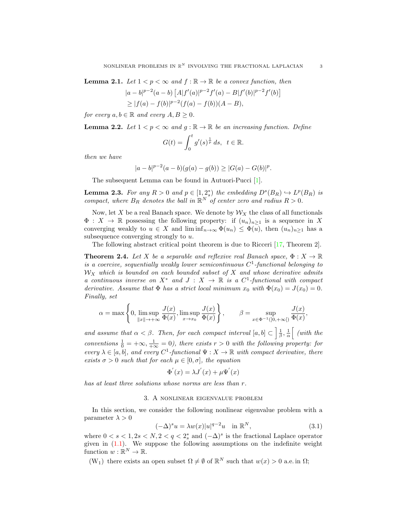<span id="page-2-2"></span>**Lemma 2.1.** Let  $1 < p < \infty$  and  $f : \mathbb{R} \to \mathbb{R}$  be a convex function, then

$$
|a-b|^{p-2}(a-b) [A|f'(a)|^{p-2}f'(a) - B|f'(b)|^{p-2}f'(b)]
$$
  
\n
$$
\geq |f(a) - f(b)|^{p-2}(f(a) - f(b))(A - B),
$$

for every  $a, b \in \mathbb{R}$  and every  $A, B \geq 0$ .

<span id="page-2-3"></span>**Lemma 2.2.** Let 
$$
1 < p < \infty
$$
 and  $g : \mathbb{R} \to \mathbb{R}$  be an increasing function. Define

$$
G(t) = \int_0^t g'(s)^{\frac{1}{p}} ds, \ t \in \mathbb{R}.
$$

then we have

$$
|a-b|^{p-2}(a-b)(g(a)-g(b)) \ge |G(a)-G(b)|^p.
$$

The subsequent Lemma can be found in Autuori-Pucci [\[1\]](#page-15-1).

<span id="page-2-1"></span>**Lemma 2.3.** For any  $R > 0$  and  $p \in [1, 2_s^*)$  the embedding  $D^s(B_R) \hookrightarrow L^p(B_R)$  is compact, where  $B_R$  denotes the ball in  $\mathbb{R}^N$  of center zero and radius  $R > 0$ .

Now, let X be a real Banach space. We denote by  $\mathcal{W}_X$  the class of all functionals  $\Phi: X \to \mathbb{R}$  possessing the following property: if  $(u_n)_{n\geq 1}$  is a sequence in X converging weakly to  $u \in X$  and  $\liminf_{n\to\infty} \Phi(u_n) \leq \Phi(u)$ , then  $(u_n)_{n\geq 1}$  has a subsequence converging strongly to u.

The following abstract critical point theorem is due to Ricceri [\[17,](#page-15-0) Theorem 2].

<span id="page-2-4"></span>**Theorem 2.4.** Let X be a separable and reflexive real Banach space,  $\Phi: X \to \mathbb{R}$ is a coercive, sequentially weakly lower semicontinuous  $C^1$ -functional belonging to  $W_X$  which is bounded on each bounded subset of X and whose derivative admits a continuous inverse on  $X^*$  and  $J: X \to \mathbb{R}$  is a  $C^1$ -functional with compact derivative. Assume that  $\Phi$  has a strict local minimum  $x_0$  with  $\Phi(x_0) = J(x_0) = 0$ . Finally, set

$$
\alpha = \max\left\{0, \limsup_{\|x\| \to +\infty} \frac{J(x)}{\Phi(x)}, \limsup_{x \to x_0} \frac{J(x)}{\Phi(x)}\right\}, \qquad \beta = \sup_{x \in \Phi^{-1}(]0, +\infty[)} \frac{J(x)}{\Phi(x)},
$$

and assume that  $\alpha < \beta$ . Then, for each compact interval  $[a, b] \subset \left[\frac{1}{\beta}, \frac{1}{\alpha}\right]$  (with the conventions  $\frac{1}{0} = +\infty$ ,  $\frac{1}{+\infty} = 0$ ), there exists  $r > 0$  with the following property: for every  $\lambda \in [a, b]$ , and every  $C^1$ -functional  $\Psi : X \to \mathbb{R}$  with compact derivative, there exists  $\sigma > 0$  such that for each  $\mu \in [0, \sigma]$ , the equation

$$
\Phi'(x) = \lambda J'(x) + \mu \Psi'(x)
$$

has at least three solutions whose norms are less than r.

## 3. A nonlinear eigenvalue problem

In this section, we consider the following nonlinear eigenvalue problem with a parameter  $\lambda > 0$ 

<span id="page-2-0"></span>
$$
(-\Delta)^s u = \lambda w(x)|u|^{q-2}u \quad \text{in } \mathbb{R}^N,
$$
\n(3.1)

where  $0 < s < 1, 2s < N, 2 < q < 2_s^*$  and  $(-\Delta)^s$  is the fractional Laplace operator given in  $(1.1)$ . We suppose the following assumptions on the indefinite weight function  $w : \mathbb{R}^N \to \mathbb{R}$ .

(W<sub>1</sub>) there exists an open subset  $\Omega \neq \emptyset$  of  $\mathbb{R}^N$  such that  $w(x) > 0$  a.e. in  $\Omega$ ;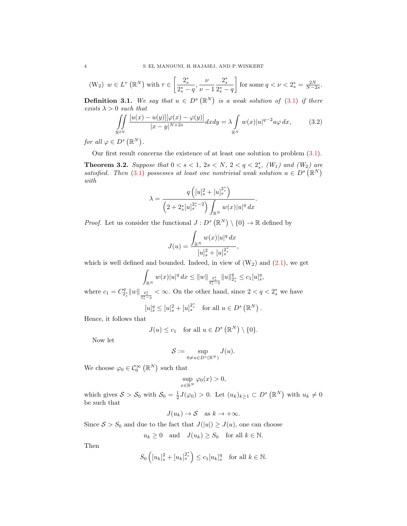$$
(W_2) \ w \in L^{\tau}\left(\mathbb{R}^N\right) \text{ with } \tau \in \left[\frac{2_s^*}{2_s^*-q}, \frac{\nu}{\nu-1} \frac{2_s^*}{2_s^*-q}\right] \text{ for some } q < \nu < 2_s^* = \frac{2N}{N-2s}.
$$

**Definition 3.1.** We say that  $u \in D^s(\mathbb{R}^N)$  is a weak solution of [\(3.1\)](#page-2-0) if there exists  $\lambda > 0$  such that

<span id="page-3-1"></span>
$$
\iint_{\mathbb{R}^{2N}} \frac{\left[u(x) - u(y)\right] [\varphi(x) - \varphi(y)]}{|x - y|^{N + 2s}} dx dy = \lambda \int_{\mathbb{R}^N} w(x) |u|^{q - 2} u \varphi dx, \tag{3.2}
$$

for all  $\varphi \in D^s(\mathbb{R}^N)$ .

Our first result concerns the existence of at least one solution to problem [\(3.1\)](#page-2-0).

<span id="page-3-0"></span>**Theorem 3.2.** Suppose that  $0 < s < 1$ ,  $2s < N$ ,  $2 < q < 2_s^*$ ,  $(W_1)$  and  $(W_2)$  are satisfied. Then [\(3.1\)](#page-2-0) possesses at least one nontrivial weak solution  $u \in D^s(\mathbb{R}^N)$ with

$$
\lambda = \frac{q\left([u]_s^2 + [u]_s^{2_s^*}\right)}{\left(2 + 2_s^*[u]_s^{2_s^* - 2}\right)\int_{\mathbb{R}^N} w(x)|u|^q dx}.
$$

*Proof.* Let us consider the functional  $J: D^s (\mathbb{R}^N) \setminus \{0\} \to \mathbb{R}$  defined by

$$
J(u) = \frac{\int_{\mathbb{R}^N} w(x)|u|^q dx}{[u]_s^2 + [u]_s^{2^*_s}},
$$

which is well defined and bounded. Indeed, in view of  $(W_2)$  and  $(2.1)$ , we get

$$
\int_{\mathbb{R}^N} w(x)|u|^q dx \leq \|w\|_{\frac{2^*_s}{2^*_s-q}} \|u\|_{2^*_s}^q \leq c_1 [u]_s^q,
$$

where  $c_1 = C_{2_s^*}^q ||w||_{\frac{2_s^*}{2_s^* - q}}$ < ∞. On the other hand, since  $2 < q < 2_s^*$  we have ∗

$$
[u]_s^q \leq [u]_s^2 + [u]_s^{2_s^*}
$$
 for all  $u \in D^s(\mathbb{R}^N)$ .

Hence, it follows that

$$
J(u) \le c_1 \quad \text{for all } u \in D^s \left( \mathbb{R}^N \right) \setminus \{0\}.
$$

Now let

$$
\mathcal{S}:=\sup_{0\neq u\in D^s(\mathbb{R}^N)}J(u).
$$

We choose  $\varphi_0 \in \mathcal{C}_0^{\infty}(\mathbb{R}^N)$  such that

$$
\sup_{x \in \mathbb{R}^N} \varphi_0(x) > 0,
$$

which gives  $S > S_0$  with  $S_0 = \frac{1}{2}J(\varphi_0) > 0$ . Let  $(u_k)_{k\geq 1} \subset D^s(\mathbb{R}^N)$  with  $u_k \neq 0$ be such that

$$
J(u_k) \to \mathcal{S} \quad \text{as } k \to +\infty.
$$

Since  $S > S_0$  and due to the fact that  $J(|u|) \geq J(u)$ , one can choose

$$
u_k \ge 0
$$
 and  $J(u_k) \ge S_0$  for all  $k \in \mathbb{N}$ .

Then

$$
S_0\left([u_k]_s^2+[u_k]_s^{2_s^*}\right)\leq c_1[u_k]_s^q \quad \text{for all } k\in\mathbb{N}.
$$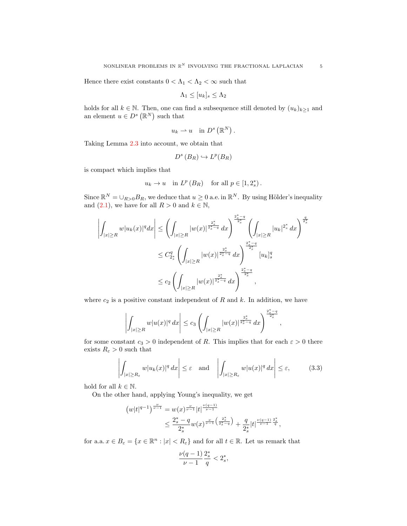Hence there exist constants  $0<\Lambda_1<\Lambda_2<\infty$  such that

$$
\Lambda_1 \le [u_k]_s \le \Lambda_2
$$

holds for all  $k \in \mathbb{N}$ . Then, one can find a subsequence still denoted by  $(u_k)_{k\geq 1}$  and an element  $u \in D^s(\mathbb{R}^N)$  such that

$$
u_k \rightharpoonup u \quad \text{in } D^s\left(\mathbb{R}^N\right).
$$

Taking Lemma [2.3](#page-2-1) into account, we obtain that

$$
D^{s}(B_{R}) \hookrightarrow L^{p}(B_{R})
$$

is compact which implies that

$$
u_k \to u
$$
 in  $L^p(B_R)$  for all  $p \in [1, 2_s^*)$ .

Since  $\mathbb{R}^N = \bigcup_{R>0} B_R$ , we deduce that  $u \geq 0$  a.e. in  $\mathbb{R}^N$ . By using Hölder's inequality and  $(2.1)$ , we have for all  $R > 0$  and  $k \in \mathbb{N}$ ,

$$
\left| \int_{|x| \ge R} w|u_k(x)|^q dx \right| \le \left( \int_{|x| \ge R} |w(x)|^{\frac{2^*_s}{2^*_s - q}} dx \right)^{\frac{2^*_s - q}{2^*_s}} \left( \int_{|x| \ge R} |u_k|^{2^*_s} dx \right)^{\frac{q}{2^*_s}}
$$
  

$$
\le C_{2^*_s}^q \left( \int_{|x| \ge R} |w(x)|^{\frac{2^*_s}{2^*_s - q}} dx \right)^{\frac{2^*_s - q}{2^*_s}} [u_k]_s^q
$$
  

$$
\le c_2 \left( \int_{|x| \ge R} |w(x)|^{\frac{2^*_s}{2^*_s - q}} dx \right)^{\frac{2^*_s - q}{2^*_s}},
$$

where  $c_2$  is a positive constant independent of R and k. In addition, we have

$$
\left| \int_{|x| \ge R} w|u(x)|^q dx \right| \le c_3 \left( \int_{|x| \ge R} |w(x)|^{\frac{2^*_s}{2^*_s-q}} dx \right)^{\frac{2^*_s-q}{2^*_s}},
$$

for some constant  $c_3 > 0$  independent of R. This implies that for each  $\varepsilon > 0$  there exists  $R_{\varepsilon} > 0$  such that

<span id="page-4-0"></span>
$$
\left| \int_{|x| \ge R_{\varepsilon}} w |u_k(x)|^q dx \right| \le \varepsilon \quad \text{and} \quad \left| \int_{|x| \ge R_{\varepsilon}} w |u(x)|^q dx \right| \le \varepsilon, \tag{3.3}
$$

∗

hold for all  $k \in \mathbb{N}$ .

On the other hand, applying Young's inequality, we get

$$
(w|t|^{q-1})^{\frac{\nu}{\nu-1}} = w(x)^{\frac{\nu}{\nu-1}}|t|^{\frac{\nu(q-1)}{\nu-1}} \leq \frac{2^*_s - q}{2^*_s} w(x)^{\frac{\nu}{\nu-1}\left(\frac{2^*_s}{2^*_s - q}\right)} + \frac{q}{2^*_s}|t|^{\frac{\nu(q-1)}{\nu-1}\frac{2^*_s}{q}},
$$

for a.a.  $x \in B_{\varepsilon} = \{x \in \mathbb{R}^n : |x| < R_{\varepsilon}\}\$ and for all  $t \in \mathbb{R}$ . Let us remark that

$$
\frac{\nu(q-1)}{\nu-1}\frac{2_s^*}{q} < 2_s^*,
$$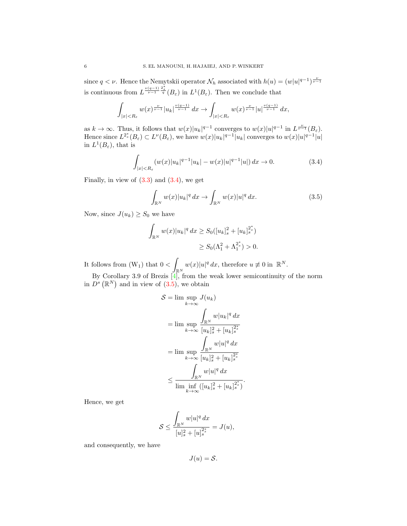since  $q < \nu$ . Hence the Nemytskii operator  $\mathcal{N}_h$  associated with  $h(u) = (w|u|^{q-1})^{\frac{\nu}{\nu-1}}$ is continuous from  $L^{\frac{\nu(q-1)}{\nu-1}\frac{2^*_s}{q}}(B_\varepsilon)$  in  $L^1(B_\varepsilon)$ . Then we conclude that

$$
\int_{|x|
$$

as  $k \to \infty$ . Thus, it follows that  $w(x)|u_k|^{q-1}$  converges to  $w(x)|u|^{q-1}$  in  $L^{\frac{\nu}{\nu-1}}(B_{\varepsilon})$ . Hence since  $L^{2^*_s}(B_\varepsilon) \subset L^{\nu}(B_\varepsilon)$ , we have  $w(x)|u_k|^{q-1} |u_k|$  converges to  $w(x)|u|^{q-1} |u|$ in  $L^1(B_\varepsilon)$ , that is

<span id="page-5-0"></span>
$$
\int_{|x|
$$

Finally, in view of  $(3.3)$  and  $(3.4)$ , we get

<span id="page-5-1"></span>
$$
\int_{\mathbb{R}^N} w(x)|u_k|^q \, dx \to \int_{\mathbb{R}^N} w(x)|u|^q \, dx. \tag{3.5}
$$

.

Now, since  $J(u_k) \geq S_0$  we have

$$
\int_{\mathbb{R}^N} w(x)|u_k|^q dx \ge S_0([u_k]_s^2 + [u_k]_s^{2^*})
$$
  

$$
\ge S_0(\Lambda_1^2 + \Lambda_1^{2^*}) > 0.
$$

It follows from  $(W_1)$  that  $0 < \infty$  $\int_{\mathbb{R}^N} w(x)|u|^q dx$ , therefore  $u \not\equiv 0$  in  $\mathbb{R}^N$ .

By Corollary 3.9 of Brezis  $\left[4\right]$ , from the weak lower semicontinuity of the norm in  $D^{s}(\mathbb{R}^{N})$  and in view of  $(3.5)$ , we obtain

$$
S = \lim_{k \to \infty} \sup_{k \to \infty} J(u_k)
$$
  
= 
$$
\lim_{k \to \infty} \frac{\int_{\mathbb{R}^N} w |u_k|^q dx}{[u_k]_s^2 + [u_k]_s^{2^*}}
$$
  
= 
$$
\lim_{k \to \infty} \frac{\int_{\mathbb{R}^N} w |u|^q dx}{[u_k]_s^2 + [u_k]_s^{2^*}}
$$
  

$$
\leq \frac{\int_{\mathbb{R}^N} w |u|^q dx}{\lim_{k \to \infty} ([u_k]_s^2 + [u_k]_s^{2^*})}.
$$

Hence, we get

$$
\mathcal{S} \le \frac{\int_{\mathbb{R}^N} w|u|^q dx}{[u]_s^2 + [u]_s^{2_s^*}} = J(u),
$$

and consequently, we have

 $J(u) = S$ .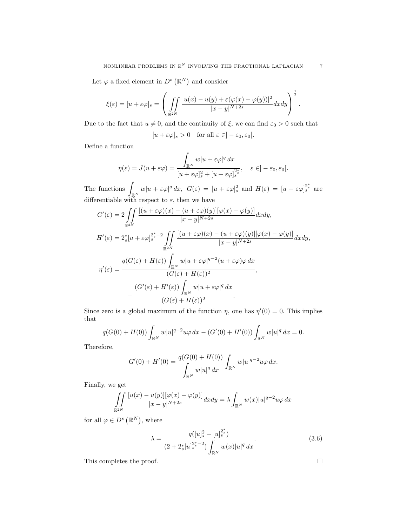Let  $\varphi$  a fixed element in  $D^s(\mathbb{R}^N)$  and consider

$$
\xi(\varepsilon) = [u + \varepsilon \varphi]_s = \left( \iint\limits_{\mathbb{R}^{2N}} \frac{|u(x) - u(y) + \varepsilon(\varphi(x) - \varphi(y))|^2}{|x - y|^{N+2s}} dx dy \right)^{\frac{1}{2}}.
$$

Due to the fact that  $u \neq 0$ , and the continuity of  $\xi$ , we can find  $\varepsilon_0 > 0$  such that

$$
[u + \varepsilon \varphi]_s > 0 \quad \text{for all } \varepsilon \in ]-\varepsilon_0, \varepsilon_0[.
$$

Define a function

$$
\eta(\varepsilon) = J(u + \varepsilon \varphi) = \frac{\int_{\mathbb{R}^N} w|u + \varepsilon \varphi|^q dx}{[u + \varepsilon \varphi]_s^2 + [u + \varepsilon \varphi]_s^{2^*}}, \quad \varepsilon \in ]-\varepsilon_0, \varepsilon_0[.
$$

The functions  $\int_{\mathbb{R}^N} w|u+\varepsilon\varphi|^q dx$ ,  $G(\varepsilon) = [u+\varepsilon\varphi]_s^2$  and  $H(\varepsilon) = [u+\varepsilon\varphi]_s^{2^*_s}$  are differentiable with respect to  $\varepsilon$ , then we have

$$
G'(\varepsilon) = 2 \iint_{\mathbb{R}^{2N}} \frac{\left[ (u + \varepsilon \varphi)(x) - (u + \varepsilon \varphi)(y) \right] [\varphi(x) - \varphi(y)]}{|x - y|^{N + 2s}} dx dy,
$$
  
\n
$$
H'(\varepsilon) = 2_s^* [u + \varepsilon \varphi]_s^{2_s^* - 2} \iint_{\mathbb{R}^{2N}} \frac{\left[ (u + \varepsilon \varphi)(x) - (u + \varepsilon \varphi)(y) \right] [\varphi(x) - \varphi(y)]}{|x - y|^{N + 2s}} dx dy,
$$
  
\n
$$
\eta'(\varepsilon) = \frac{q(G(\varepsilon) + H(\varepsilon)) \int_{\mathbb{R}^N} w|u + \varepsilon \varphi|^{q - 2} (u + \varepsilon \varphi) \varphi dx}{(G(\varepsilon) + H(\varepsilon))^2},
$$
  
\n
$$
- \frac{(G'(\varepsilon) + H'(\varepsilon)) \int_{\mathbb{R}^N} w|u + \varepsilon \varphi|^q dx}{(G(\varepsilon) + H(\varepsilon))^2}.
$$

Since zero is a global maximum of the function  $\eta$ , one has  $\eta'(0) = 0$ . This implies that

$$
q(G(0) + H(0)) \int_{\mathbb{R}^N} w|u|^{q-2} u\varphi \, dx - (G'(0) + H'(0)) \int_{\mathbb{R}^N} w|u|^q \, dx = 0.
$$

Therefore,

$$
G'(0) + H'(0) = \frac{q(G(0) + H(0))}{\int_{\mathbb{R}^N} w|u|^q dx} \int_{\mathbb{R}^N} w|u|^{q-2} u\varphi dx.
$$

Finally, we get

$$
\iint\limits_{\mathbb{R}^{2N}}\frac{[u(x)-u(y)][\varphi(x)-\varphi(y)]}{|x-y|^{N+2s}}dxdy=\lambda\int_{\mathbb{R}^N}w(x)|u|^{q-2}u\varphi\,dx
$$

for all  $\varphi \in D^s(\mathbb{R}^N)$ , where

<span id="page-6-0"></span>
$$
\lambda = \frac{q([u]_s^2 + [u]_s^{2^*})}{(2 + 2^*_s [u]_s^{2^*-2}) \int_{\mathbb{R}^N} w(x) |u|^q dx}.
$$
\n(3.6)

This completes the proof.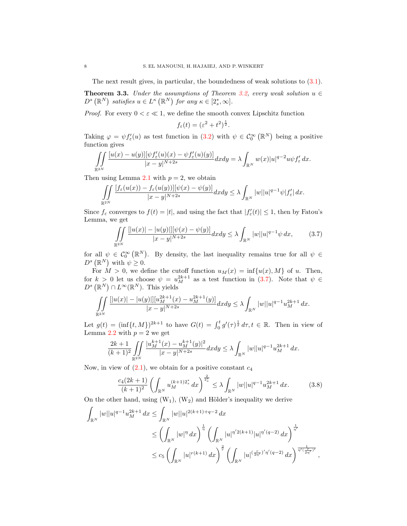The next result gives, in particular, the boundedness of weak solutions to [\(3.1\)](#page-2-0).

<span id="page-7-2"></span>**Theorem 3.3.** Under the assumptions of Theorem [3.2,](#page-3-0) every weak solution  $u \in$  $D^{s}(\mathbb{R}^{N})$  satisfies  $u \in L^{\kappa}(\mathbb{R}^{N})$  for any  $\kappa \in [2_{s}^{*}, \infty]$ .

*Proof.* For every  $0 < \varepsilon \ll 1$ , we define the smooth convex Lipschitz function

$$
f_{\varepsilon}(t) = (\varepsilon^2 + t^2)^{\frac{1}{2}}.
$$

Taking  $\varphi = \psi f'_{\varepsilon}(u)$  as test function in [\(3.2\)](#page-3-1) with  $\psi \in C_0^{\infty}(\mathbb{R}^N)$  being a positive function gives

$$
\iint\limits_{\mathbb{R}^{2N}}\frac{[u(x)-u(y)][\psi f_{\varepsilon}'(u)(x)-\psi f_{\varepsilon}'(u)(y)]}{|x-y|^{N+2s}}dxdy=\lambda\int_{\mathbb{R}^{N}}w(x)|u|^{q-2}u\psi f_{\varepsilon}'\,dx.
$$

Then using Lemma [2.1](#page-2-2) with  $p = 2$ , we obtain

$$
\iint\limits_{\mathbb{R}^{2N}}\frac{[f_{\varepsilon}(u(x))-f_{\varepsilon}(u(y))][\psi(x)-\psi(y)]}{|x-y|^{N+2s}}dxdy\leq\lambda\int_{\mathbb{R}^{N}}|w||u|^{q-1}\psi|f'_{\varepsilon}|\,dx.
$$

Since  $f_{\varepsilon}$  converges to  $f(t) = |t|$ , and using the fact that  $|f'_{\varepsilon}(t)| \leq 1$ , then by Fatou's Lemma, we get

<span id="page-7-0"></span>
$$
\iint\limits_{\mathbb{R}^{2N}} \frac{|[u(x)| - |u(y)|] [\psi(x) - \psi(y)]}{|x - y|^{N+2s}} dx dy \le \lambda \int_{\mathbb{R}^N} |w| |u|^{q-1} \psi \, dx,\tag{3.7}
$$

for all  $\psi \in \mathcal{C}_0^{\infty}(\mathbb{R}^N)$ . By density, the last inequality remains true for all  $\psi \in$  $D^{s}(\mathbb{R}^{N})$  with  $\psi \geq 0$ .

For  $M > 0$ , we define the cutoff function  $u_M(x) = \inf\{u(x), M\}$  of u. Then, for  $k > 0$  let us choose  $\psi = u_M^{2k+1}$  as a test function in [\(3.7\)](#page-7-0). Note that  $\psi \in$  $D^{s}(\mathbb{R}^{N})\cap L^{\infty}(\mathbb{R}^{N}).$  This yields

$$
\iint\limits_{\mathbb{R}^{2N}}\frac{[|u(x)|-|u(y)|][u^{2k+1}_{M}(x)-u^{2k+1}_{M}(y)]}{|x-y|^{N+2s}}dxdy\leq\lambda\int_{\mathbb{R}^{N}}|w||u|^{q-1}u^{2k+1}_{M}\,dx.
$$

Let  $g(t) = (\inf\{t, M\})^{2k+1}$  to have  $G(t) = \int_0^t g'(\tau)^{\frac{1}{2}} d\tau, t \in \mathbb{R}$ . Then in view of Lemma [2.2](#page-2-3) with  $p = 2$  we get

$$
\frac{2k+1}{(k+1)^2} \iint\limits_{\mathbb{R}^{2N}} \frac{|u^{k+1}_M(x) - u^{k+1}_M(y)|^2}{|x-y|^{N+2s}} dx dy \le \lambda \int_{\mathbb{R}^N} |w| |u|^{q-1} u^{2k+1}_M dx.
$$

Now, in view of  $(2.1)$ , we obtain for a positive constant  $c_4$ 

<span id="page-7-1"></span>
$$
\frac{c_4(2k+1)}{(k+1)^2} \left( \int_{\mathbb{R}^N} u_M^{(k+1)2_s^*} dx \right)^{\frac{2}{2_s^*}} \le \lambda \int_{\mathbb{R}^N} |w| |u|^{q-1} u_M^{2k+1} dx. \tag{3.8}
$$

On the other hand, using  $(W_1)$ ,  $(W_2)$  and Hölder's inequality we derive

$$
\int_{\mathbb{R}^N} |w||u|^{q-1} u_M^{2k+1} dx \le \int_{\mathbb{R}^N} |w||u|^{2(k+1)+q-2} dx
$$
  
\n
$$
\le \left(\int_{\mathbb{R}^N} |w|^{\eta} dx\right)^{\frac{1}{\eta}} \left(\int_{\mathbb{R}^N} |u|^{\eta/2(k+1)} |u|^{\eta'(q-2)} dx\right)^{\frac{1}{\eta'}}\n\le c_5 \left(\int_{\mathbb{R}^N} |u|^{r(k+1)} dx\right)^{\frac{2}{r}} \left(\int_{\mathbb{R}^N} |u|^{\left(\frac{r}{2\eta'}\right)'\eta'(q-2)} dx\right)^{\frac{1}{\eta'(\frac{r}{2\eta'})'}} ,
$$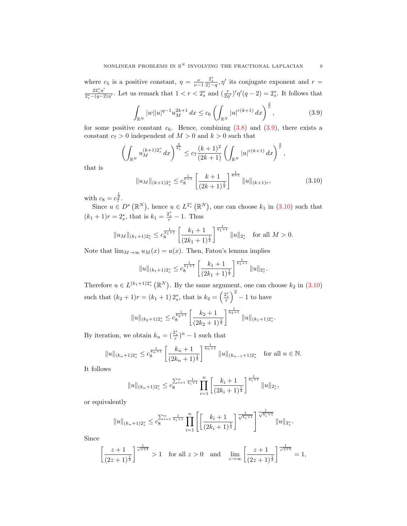where  $c_5$  is a positive constant,  $\eta = \frac{\nu}{\nu - 1}$  $\frac{2_s^*}{2_s^*-q}$ ,  $\eta'$  its conjugate exponent and  $r=$  $22^*_s \eta'$  $\frac{22^*_s \eta'}{2^*_s-(q-2)\eta'}$ . Let us remark that  $1 < r < 2^*_s$  and  $(\frac{r}{2\eta'})'\eta'(q-2) = 2^*_s$ . It follows that

<span id="page-8-0"></span>
$$
\int_{\mathbb{R}^N} |w||u|^{q-1} u_M^{2k+1} dx \le c_6 \left( \int_{\mathbb{R}^N} |u|^{r(k+1)} dx \right)^{\frac{2}{r}},\tag{3.9}
$$

for some positive constant  $c_6$ . Hence, combining  $(3.8)$  and  $(3.9)$ , there exists a constant  $c_7 > 0$  independent of  $M > 0$  and  $k > 0$  such that

$$
\left(\int_{\mathbb{R}^N} u_M^{(k+1)2_s^*} dx\right)^{\frac{2}{2_s^*}} \le c_7 \frac{(k+1)^2}{(2k+1)} \left(\int_{\mathbb{R}^N} |u|^{r(k+1)} dx\right)^{\frac{2}{r}},
$$

that is

<span id="page-8-1"></span>
$$
||u_M||_{(k+1)2_s^*} \leq c_8^{\frac{1}{k+1}} \left[ \frac{k+1}{(2k+1)^{\frac{1}{2}}} \right]^{\frac{1}{k+1}} ||u||_{(k+1)r}, \tag{3.10}
$$

with  $c_8 = c_7^{\frac{1}{2}}$ .

Since  $u \in D^s(\mathbb{R}^N)$ , hence  $u \in L^{2^*_s}(\mathbb{R}^N)$ , one can choose  $k_1$  in  $(3.10)$  such that  $(k_1 + 1)r = 2_s^*$ , that is  $k_1 = \frac{2_s^*}{r} - 1$ . Thus

$$
||u_M||_{(k_1+1)2_s^*} \leq c_8^{\frac{1}{k_1+1}} \left[ \frac{k_1+1}{(2k_1+1)^{\frac{1}{2}}} \right]^{\frac{1}{k_1+1}} ||u||_{2_s^*} \text{ for all } M > 0.
$$

Note that  $\lim_{M\to\infty}u_M(x)=u(x)$ . Then, Fatou's lemma implies

$$
||u||_{(k_1+1)2_s^*} \leq c_8^{\frac{1}{k_1+1}} \left[ \frac{k_1+1}{(2k_1+1)^{\frac{1}{2}}} \right]^{\frac{1}{k_1+1}} ||u||_{2_s^*}.
$$

Therefore  $u \in L^{(k_1+1)2_s^*}(\mathbb{R}^N)$ . By the same argument, one can choose  $k_2$  in [\(3.10\)](#page-8-1) such that  $(k_2 + 1)r = (k_1 + 1)2_s^*$ , that is  $k_2 = \left(\frac{2_s^*}{r}\right)^2 - 1$  to have

$$
||u||_{(k_2+1)2_s^*} \leq c_8^{\frac{1}{k_2+1}} \left[ \frac{k_2+1}{(2k_2+1)^{\frac{1}{2}}} \right]^{\frac{1}{k_2+1}} ||u||_{(k_1+1)2_s^*}.
$$

By iteration, we obtain  $k_n = (\frac{2_s^*}{r})^n - 1$  such that

$$
||u||_{(k_n+1)2_s^*} \leq c_8^{\frac{1}{k_n+1}} \left[ \frac{k_n+1}{(2k_n+1)^{\frac{1}{2}}} \right]^{\frac{1}{k_n+1}} ||u||_{(k_{n-1}+1)2_s^*} \text{ for all } n \in \mathbb{N}.
$$

It follows

$$
||u||_{(k_n+1)2_s^*} \leq c_8^{\sum_{i=1}^n \frac{1}{k_i+1}} \prod_{i=1}^n \left[ \frac{k_i+1}{(2k_i+1)^{\frac{1}{2}}} \right]^{\frac{1}{k_i+1}} ||u||_{2_s^*},
$$

or equivalently

$$
||u||_{(k_n+1)2_s^*} \leq c_8^{\sum_{i=1}^n \frac{1}{k_i+1}} \prod_{i=1}^n \left[ \left[ \frac{k_i+1}{(2k_i+1)^{\frac{1}{2}}} \right]^{\frac{1}{\sqrt{k_i+1}}} \right]^{\frac{1}{\sqrt{k_i+1}}} ||u||_{2_s^*}.
$$

Since

$$
\left[\frac{z+1}{(2z+1)^{\frac{1}{2}}}\right]^{\frac{1}{\sqrt{z+1}}} > 1 \text{ for all } z > 0 \text{ and } \lim_{z \to \infty} \left[\frac{z+1}{(2z+1)^{\frac{1}{2}}}\right]^{\frac{1}{\sqrt{z+1}}} = 1,
$$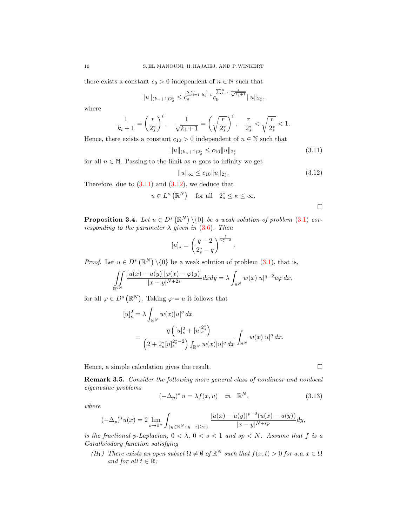there exists a constant  $c_9 > 0$  independent of  $n \in \mathbb{N}$  such that

$$
||u||_{(k_n+1)2_s^*} \leq c_8^{\sum_{i=1}^n \frac{1}{k_i+1}} c_9^{\sum_{i=1}^n \frac{1}{\sqrt{k_i+1}}} ||u||_{2_s^*},
$$

where

$$
\frac{1}{k_i+1} = \left(\frac{r}{2_s^*}\right)^i, \quad \frac{1}{\sqrt{k_i+1}} = \left(\sqrt{\frac{r}{2_s^*}}\right)^i, \quad \frac{r}{2_s^*} < \sqrt{\frac{r}{2_s^*}} < 1.
$$

Hence, there exists a constant  $c_{10} > 0$  independent of  $n \in \mathbb{N}$  such that

<span id="page-9-0"></span>
$$
||u||_{(k_n+1)2_s^*} \le c_{10}||u||_{2_s^*}
$$
\n(3.11)

for all  $n \in \mathbb{N}$ . Passing to the limit as n goes to infinity we get

<span id="page-9-1"></span>
$$
||u||_{\infty} \le c_{10}||u||_{2_s^*}.\tag{3.12}
$$

.

Therefore, due to  $(3.11)$  and  $(3.12)$ , we deduce that

$$
u\in L^{\kappa}\left(\mathbb{R}^{N}\right)\quad\text{for all}\quad2_{s}^{*}\leq\kappa\leq\infty.
$$

 $\Box$ 

**Proposition 3.4.** Let  $u \in D^s(\mathbb{R}^N) \setminus \{0\}$  be a weak solution of problem [\(3.1\)](#page-2-0) corresponding to the parameter  $\lambda$  given in [\(3.6\)](#page-6-0). Then

$$
[u]_s = \left(\frac{q-2}{2_s^*-q}\right)^{\frac{1}{2_s^*-2}}
$$

*Proof.* Let  $u \in D^s(\mathbb{R}^N) \setminus \{0\}$  be a weak solution of problem  $(3.1)$ , that is,

$$
\iint\limits_{\mathbb{R}^{2N}}\frac{[u(x)-u(y)][\varphi(x)-\varphi(y)]}{|x-y|^{N+2s}}dxdy=\lambda\int_{\mathbb{R}^N}w(x)|u|^{q-2}u\varphi\,dx,
$$

for all  $\varphi \in D^s(\mathbb{R}^N)$ . Taking  $\varphi = u$  it follows that

$$
[u]_s^2 = \lambda \int_{\mathbb{R}^N} w(x)|u|^q dx
$$
  
= 
$$
\frac{q\left([u]_s^2 + [u]_s^{2^*}\right)}{\left(2 + 2^*_s [u]_s^{2^*-2}\right) \int_{\mathbb{R}^N} w(x)|u|^q dx} \int_{\mathbb{R}^N} w(x)|u|^q dx.
$$

Hence, a simple calculation gives the result.

<span id="page-9-3"></span>Remark 3.5. Consider the following more general class of nonlinear and nonlocal eigenvalue problems

<span id="page-9-2"></span>
$$
(-\Delta_p)^s u = \lambda f(x, u) \quad \text{in} \quad \mathbb{R}^N, \tag{3.13}
$$

where

$$
(-\Delta_p)^s u(x) = 2 \lim_{\varepsilon \to 0^+} \int_{\{y \in \mathbb{R}^N : |y - x| \ge \varepsilon\}} \frac{|u(x) - u(y)|^{p-2} (u(x) - u(y))}{|x - y|^{N + sp}} dy,
$$

is the fractional p-Laplacian,  $0 < \lambda$ ,  $0 < s < 1$  and  $sp < N$ . Assume that f is a Carathéodory function satisfying

(H<sub>1</sub>) There exists an open subset  $\Omega \neq \emptyset$  of  $\mathbb{R}^N$  such that  $f(x,t) > 0$  for a.a.  $x \in \Omega$ and for all  $t \in \mathbb{R}$ :

$$
\sqcup
$$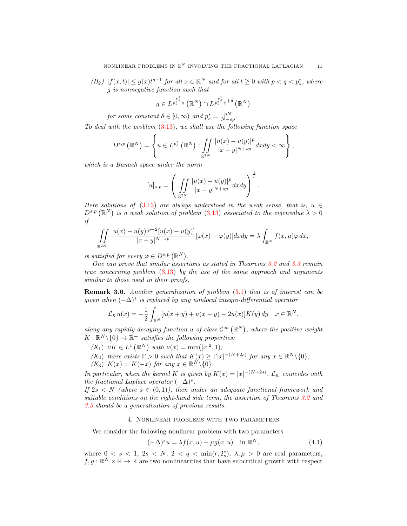$(H_2)$   $|f(x,t)| \leq g(x)t^{q-1}$  for all  $x \in \mathbb{R}^N$  and for all  $t \geq 0$  with  $p < q < p_s^*$ , where g is nonnegative function such that

$$
g \in L^{\frac{p_s^*}{p_s^* - q}}\left(\mathbb{R}^N\right) \cap L^{\frac{p_s^*}{p_s^* - q} + \delta}\left(\mathbb{R}^N\right)
$$

for some constant  $\delta \in [0, \infty)$  and  $p_s^* = \frac{pN}{N-sp}$ .

To deal with the problem [\(3.13\)](#page-9-2), we shall use the following function space

$$
D^{s,p}\left(\mathbb{R}^N\right)=\left\{u\in L^{p_s^*}\left(\mathbb{R}^N\right): \iint\limits_{\mathbb{R}^{2N}}\frac{|u(x)-u(y)|^p}{|x-y|^{N+sp}}dxdy<\infty\right\},\,
$$

which is a Banach space under the norm

$$
[u]_{s,p} = \left( \iint_{\mathbb{R}^{2N}} \frac{|u(x) - u(y)|^p}{|x - y|^{N + sp}} dx dy \right)^{\frac{1}{p}}.
$$

Here solutions of [\(3.13\)](#page-9-2) are always understood in the weak sense, that is,  $u \in$  $D^{s,p}(\mathbb{R}^N)$  is a weak solution of problem [\(3.13\)](#page-9-2) associated to the eigenvalue  $\lambda > 0$ if

$$
\iint\limits_{\mathbb{R}^{2N}}\frac{|u(x)-u(y)|^{p-2}[u(x)-u(y)]}{|x-y|^{N+sp}}[\varphi(x)-\varphi(y)]dxdy=\lambda\int_{\mathbb{R}^N}f(x,u)\varphi\,dx,
$$

is satisfied for every  $\varphi \in D^{s,p}(\mathbb{R}^N)$ .

One can prove that similar assertions as stated in Theorems [3.2](#page-3-0) and [3.3](#page-7-2) remain true concerning problem [\(3.13\)](#page-9-2) by the use of the same approach and arguments similar to those used in their proofs.

Remark 3.6. Another generalization of problem [\(3.1\)](#page-2-0) that is of interest can be given when  $(-\Delta)^s$  is replaced by any nonlocal integro-differential operator

$$
\mathcal{L}_{\mathcal{K}}u(x) = -\frac{1}{2} \int_{\mathbb{R}^N} \left[ u(x+y) + u(x-y) - 2u(x) \right] K(y) \, dy \quad x \in \mathbb{R}^N,
$$

along any rapidly decaying function u of class  $\mathcal{C}^{\infty}(\mathbb{R}^N)$ , where the positive weight  $K: \mathbb{R}^N \setminus \{0\} \to \mathbb{R}^+$  satisfies the following properties:

 $(K_1) \nu K \in L^1(\mathbb{R}^N) \text{ with } \nu(x) = \min(|x|^2, 1);$ 

 $(K_2)$  there exists  $\Gamma > 0$  such that  $K(x) \geq \Gamma |x|^{-(N+2s)}$  for any  $x \in \mathbb{R}^N \setminus \{0\}$ ;  $(K_3)$   $K(x) = K(-x)$  for any  $x \in \mathbb{R}^N \setminus \{0\}.$ 

In particular, when the kernel K is given by  $K(x) = |x|^{-(N+2s)}$ ,  $\mathcal{L}_{\mathcal{K}}$  coincides with the fractional Laplace operator  $(-\Delta)^s$ .

If  $2s \leq N$  (where  $s \in (0,1)$ ), then under an adequate functional framework and suitable conditions on the right-hand side term, the assertion of Theorems [3.2](#page-3-0) and [3.3](#page-7-2) should be a generalization of previous results.

# 4. Nonlinear problems with two parameters

We consider the following nonlinear problem with two parameters

<span id="page-10-0"></span>
$$
(-\Delta)^s u = \lambda f(x, u) + \mu g(x, u) \quad \text{in } \mathbb{R}^N,
$$
\n(4.1)

where  $0 \lt s \lt 1$ ,  $2s \lt N$ ,  $2 \lt q \lt \min(r, 2_s^*)$ ,  $\lambda, \mu > 0$  are real parameters,  $f, g: \mathbb{R}^N \times \mathbb{R} \to \mathbb{R}$  are two nonlinearities that have subcritical growth with respect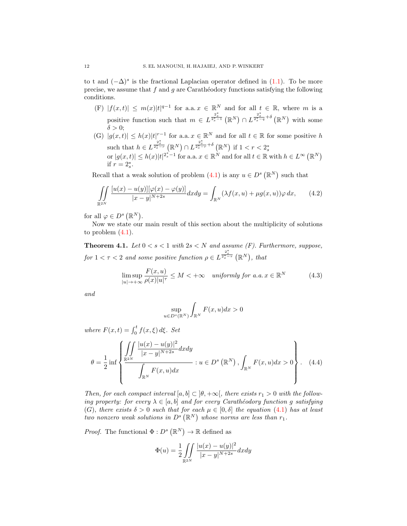to t and  $(-\Delta)^s$  is the fractional Laplacian operator defined in  $(1.1)$ . To be more precise, we assume that  $f$  and  $g$  are Carathéodory functions satisfying the following conditions.

- (F)  $|f(x,t)| \leq m(x)|t|^{q-1}$  for a.a.  $x \in \mathbb{R}^N$  and for all  $t \in \mathbb{R}$ , where m is a positive function such that  $m \in L^{\frac{2^*_s}{2^*_s-1}}(\mathbb{R}^N) \cap L^{\frac{2^*_s}{2^*_s-q}+\delta}(\mathbb{R}^N)$  with some  $\delta > 0;$
- (G)  $|g(x,t)| \leq h(x)|t|^{r-1}$  for a.a.  $x \in \mathbb{R}^N$  and for all  $t \in \mathbb{R}$  for some positive h such that  $h \in L^{\frac{2_s^*}{2_s^* - r}}(\mathbb{R}^N) \cap L^{\frac{2_s^*}{2_s^* - r}} \to (\mathbb{R}^N)$  if  $1 < r < 2_s^*$ or  $|g(x,t)| \leq h(x)|t|^{2^*_s-1}$  for a.a.  $x \in \mathbb{R}^N$  and for all  $t \in \mathbb{R}$  with  $h \in L^{\infty}(\mathbb{R}^N)$ if  $r = 2_s^*$ .

Recall that a weak solution of problem  $(4.1)$  is any  $u \in D<sup>s</sup>(\mathbb{R}^N)$  such that

$$
\iint\limits_{\mathbb{R}^{2N}} \frac{[u(x) - u(y)][\varphi(x) - \varphi(y)]}{|x - y|^{N+2s}} dx dy = \int_{\mathbb{R}^N} (\lambda f(x, u) + \mu g(x, u)) \varphi dx, \qquad (4.2)
$$

for all  $\varphi \in D^s(\mathbb{R}^N)$ .

Now we state our main result of this section about the multiplicity of solutions to problem [\(4.1\)](#page-10-0).

<span id="page-11-1"></span>**Theorem 4.1.** Let  $0 < s < 1$  with  $2s < N$  and assume (F). Furthermore, suppose, for  $1 < \tau < 2$  and some positive function  $\rho \in L^{\frac{2^*_s}{2^*_s-\tau}}(\mathbb{R}^N)$ , that

<span id="page-11-0"></span>
$$
\limsup_{|u| \to +\infty} \frac{F(x, u)}{\rho(x)|u|^\tau} \le M < +\infty \quad \text{uniformly for a.a.} \ x \in \mathbb{R}^N \tag{4.3}
$$

and

$$
\sup_{u \in D^s(\mathbb{R}^N)} \int_{\mathbb{R}^N} F(x, u) dx > 0
$$

where  $F(x,t) = \int_0^t f(x,\xi) d\xi$ . Set

<span id="page-11-2"></span>
$$
\theta = \frac{1}{2} \inf \left\{ \frac{\iint \frac{|u(x) - u(y)|^2}{|x - y|^{N+2s}} dx dy}{\int_{\mathbb{R}^N} F(x, u) dx} : u \in D^s(\mathbb{R}^N), \int_{\mathbb{R}^N} F(x, u) dx > 0 \right\}.
$$
 (4.4)

Then, for each compact interval  $[a, b] \subset [\theta, +\infty]$ , there exists  $r_1 > 0$  with the following property: for every  $\lambda \in [a, b]$  and for every Carathéodory function g satisfying (G), there exists  $\delta > 0$  such that for each  $\mu \in [0, \delta]$  the equation [\(4.1\)](#page-10-0) has at least two nonzero weak solutions in  $D^{s}(\mathbb{R}^{N})$  whose norms are less than  $r_{1}$ .

*Proof.* The functional  $\Phi: D^s (\mathbb{R}^N) \to \mathbb{R}$  defined as

$$
\Phi(u) = \frac{1}{2} \iint_{\mathbb{R}^{2N}} \frac{|u(x) - u(y)|^2}{|x - y|^{N+2s}} dx dy
$$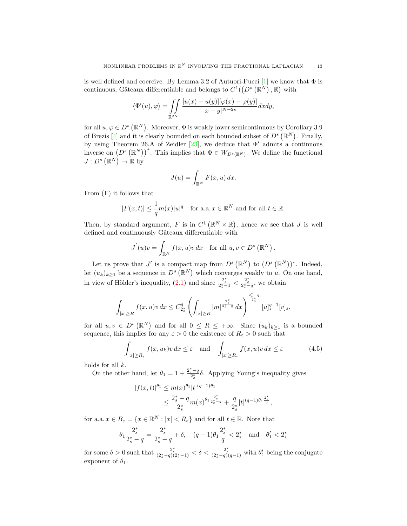is well defined and coercive. By Lemma 3.2 of Autuori-Pucci  $[1]$  we know that  $\Phi$  is continuous, Gâteaux differentiable and belongs to  $C^1((D^s(\mathbb{R}^N), \mathbb{R})$  with

$$
\langle \Phi'(u), \varphi \rangle = \iint_{\mathbb{R}^{2N}} \frac{[u(x) - u(y)][\varphi(x) - \varphi(y)]}{|x - y|^{N+2s}} dx dy,
$$

for all  $u, \varphi \in D^s (\mathbb{R}^N)$ . Moreover,  $\Phi$  is weakly lower semicontinuous by Corollary 3.9 of Brezis [\[4\]](#page-15-21) and it is clearly bounded on each bounded subset of  $D^s(\mathbb{R}^N)$ . Finally, by using Theorem 26.A of Zeidler [\[23\]](#page-15-22), we deduce that  $\Phi'$  admits a continuous inverse on  $(D^s (\mathbb{R}^N))^*$ . This implies that  $\Phi \in W_{D^s(\mathbb{R}^N)}$ . We define the functional  $J: D^s(\mathbb{R}^N) \to \mathbb{R}$  by

$$
J(u) = \int_{\mathbb{R}^N} F(x, u) \, dx.
$$

From (F) it follows that

$$
|F(x,t)| \le \frac{1}{q}m(x)|u|^q \quad \text{for a.a. } x \in \mathbb{R}^N \text{ and for all } t \in \mathbb{R}.
$$

Then, by standard argument, F is in  $C^1(\mathbb{R}^N\times\mathbb{R})$ , hence we see that J is well defined and continuously Gâteaux differentiable with

$$
J^{'}(u)v = \int_{\mathbb{R}^{N}} f(x, u)v dx \text{ for all } u, v \in D^{s}(\mathbb{R}^{N}).
$$

Let us prove that J' is a compact map from  $D^s(\mathbb{R}^N)$  to  $(D^s(\mathbb{R}^N))^*$ . Indeed, let  $(u_k)_{k\geq 1}$  be a sequence in  $D^s(\mathbb{R}^N)$  which converges weakly to u. On one hand, in view of Hölder's inequality,  $(2.1)$  and since  $\frac{2_s^*}{2_s^* - 1} < \frac{2_s^*}{2_s^* - q}$ , we obtain

$$
\int_{|x|\geq R}f(x,u)v\,dx\leq C_{2_s^s}^q\left(\int_{|x|\geq R}|m|^{\frac{2^*_s}{2^*_s-q}}\,dx\right)^{\frac{2^*_s-q}{2^*_s}}[u]_s^{q-1}[v]_s,
$$

for all  $u, v \in D^s(\mathbb{R}^N)$  and for all  $0 \leq R \leq +\infty$ . Since  $(u_k)_{k\geq 1}$  is a bounded sequence, this implies for any  $\varepsilon > 0$  the existence of  $R_{\varepsilon} > 0$  such that

<span id="page-12-0"></span>
$$
\int_{|x| \ge R_{\varepsilon}} f(x, u_k)v \, dx \le \varepsilon \quad \text{and} \quad \int_{|x| \ge R_{\varepsilon}} f(x, u)v \, dx \le \varepsilon \tag{4.5}
$$

holds for all  $k$ .

On the other hand, let  $\theta_1 = 1 + \frac{2_s^*-q}{2_s^*} \delta$ . Applying Young's inequality gives

$$
|f(x,t)|^{\theta_1} \le m(x)^{\theta_1} |t|^{(q-1)\theta_1}
$$
  
 
$$
\le \frac{2^*_s - q}{2^*_s} m(x)^{\theta_1} \frac{2^*_s}{2^*_s - q} + \frac{q}{2^*_s} |t|^{(q-1)\theta_1} \frac{2^*_s}{q},
$$

for a.a.  $x \in B_{\varepsilon} = \{x \in \mathbb{R}^N : |x| < R_{\varepsilon} \}$  and for all  $t \in \mathbb{R}$ . Note that

$$
\theta_1 \frac{2_s^*}{2_s^*-q} = \frac{2_s^*}{2_s^*-q} + \delta, \quad (q-1) \theta_1 \frac{2_s^*}{q} < 2_s^* \quad \text{and} \quad \theta_1' < 2_s^*
$$

for some  $\delta > 0$  such that  $\frac{2^*_s}{(2^*_s - q)(2^*_s - 1)} < \delta < \frac{2^*_s}{(2^*_s - q)(q-1)}$  with  $\theta'_1$  being the conjugate exponent of  $\theta_1$ .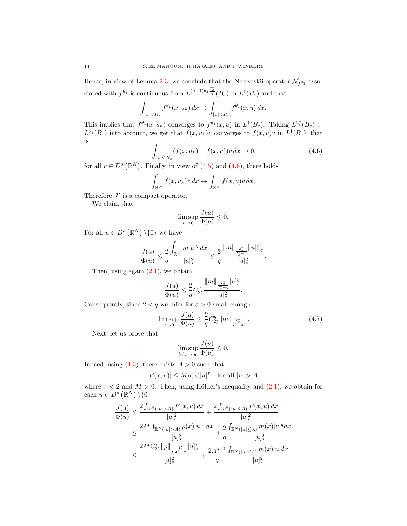Hence, in view of Lemma [2.3,](#page-2-1) we conclude that the Nemytskii operator  $\mathcal{N}_{f^{\theta_1}}$  associated with  $f^{\theta_1}$  is continuous from  $L^{(q-1)\theta_1}\frac{2^*_s}{q}(B_\varepsilon)$  in  $L^1(B_\varepsilon)$  and that

$$
\int_{|x|
$$

This implies that  $f^{\theta_1}(x, u_k)$  converges to  $f^{\theta_1}(x, u)$  in  $L^1(B_\varepsilon)$ . Taking  $L^{2^*_s}(B_\varepsilon) \subset$  $L^{\theta'}(B_{\varepsilon})$  into account, we get that  $f(x, u_k)v$  converges to  $f(x, u)v$  in  $L^1(B_{\varepsilon})$ , that is

<span id="page-13-0"></span>
$$
\int_{|x| < R_{\varepsilon}} (f(x, u_k) - f(x, u)) v \, dx \to 0,\tag{4.6}
$$

for all  $v \in D^s(\mathbb{R}^N)$ . Finally, in view of  $(4.5)$  and  $(4.6)$ , there holds

$$
\int_{\mathbb{R}^N} f(x, u_k)v \, dx \to \int_{\mathbb{R}^N} f(x, u)v \, dx.
$$

Therefore  $J'$  is a compact operator.

We claim that

$$
\limsup_{u\to 0}\frac{J(u)}{\Phi(u)}\leq 0.
$$

For all  $u \in D^s(\mathbb{R}^N) \setminus \{0\}$  we have

$$
\frac{J(u)}{\Phi(u)} \leq \frac{2}{q} \frac{\displaystyle \int_{\mathbb{R}^N} m|u|^q \,dx}{[u]_s^2} \leq \frac{2}{q} \frac{\|m\|_{\frac{2^*_s}{2^*_s-q}}\|u\|_{2^*_s}^q}{[u]_s^2}.
$$

Then, using again  $(2.1)$ , we obtain

$$
\frac{J(u)}{\Phi(u)} \leq \frac{2}{q} C_{2_s^*}^q \frac{\|m\|_{\frac{2_s^*}{2_s^* - q}} [u]_s^q}{[u]_s^2}.
$$

Consequently, since  $2 < q$  we infer for  $\varepsilon > 0$  small enough

<span id="page-13-1"></span>
$$
\limsup_{u \to 0} \frac{J(u)}{\Phi(u)} \le \frac{2}{q} C_{2_s^*}^q \|m\|_{\frac{2_s^*}{2_s^* - q}} \varepsilon. \tag{4.7}
$$

Next, let us prove that

$$
\limsup_{[u]_s\to\infty}\frac{J(u)}{\Phi(u)}\leq 0.
$$

Indeed, using  $(4.3)$ , there exists  $A > 0$  such that

$$
|F(x,u)|\leq M\rho(x)|u|^\tau\quad\text{for all }|u|>A,
$$

where  $\tau$  < 2 and  $M > 0$ . Then, using Hölder's inequality and [\(2.1\)](#page-1-0), we obtain for each  $u \in D^s (\mathbb{R}^N) \setminus \{0\}$ 

$$
\begin{aligned} \frac{J(u)}{\Phi(u)} &\leq \frac{2\int_{\mathbb{R}^N(|u|>A)}F(x,u)\,dx}{[u]_s^2} + \frac{2\int_{\mathbb{R}^N(|u|\leq A)}F(x,u)\,dx}{[u]_s^2} \\ &\leq \frac{2M\int_{\mathbb{R}^N(|u|>A)}\rho(x)|u|^\tau\,dx}{[u]_s^2} + \frac{2\int_{\mathbb{R}^N(|u|\leq A)}m(x)|u|^qdx}{[u]_s^2} \\ &\leq \frac{2MC_{2_s^*}^\tau\|\rho\|_{L^{\frac{2_s^*}{2_s-\tau}}}[u]_s^\tau}{[u]_s^2} + \frac{2A^{q-1}}{q}\frac{\int_{\mathbb{R}^N(|u|\leq A)}m(x)|u|dx}{[u]_s^2}.\end{aligned}
$$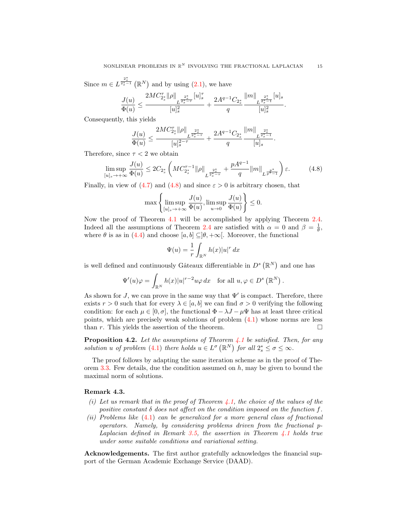Since  $m \in L^{\frac{2^*_s}{2^*_s-1}}(\mathbb{R}^N)$  and by using  $(2.1)$ , we have

$$
\frac{J(u)}{\Phi(u)}\leq \frac{2MC_{2^*_s} \|\rho\|_{L^{\frac{2^*_s}{2^*_s-\tau}}}[u]_s^\tau}{[u]_s^2}+\frac{2A^{q-1}C_{2^*_s}}{q}\frac{\|m\|_{L^{\frac{2^*_s}{2^*_s-1}}}[u]_s}{[u]_s^2}.
$$

Consequently, this yields

$$
\frac{J(u)}{\Phi(u)}\leq \frac{2MC_{2_s^*}^\tau\|\rho\|_{L^{\frac{2_s^*}{2_s^*-\tau}}}}{[u]_s^{2-\tau}}+\frac{2A^{q-1}C_{2_s^*}}{q}\frac{\|m\|_{L^{\frac{2_s^*}{2_s^*-\tau}}}}{[u]_s}
$$

Therefore, since  $\tau < 2$  we obtain

<span id="page-14-0"></span>
$$
\limsup_{[u]_s \to +\infty} \frac{J(u)}{\Phi(u)} \le 2C_{2_s^*} \left( MC_{2_s^*}^{\tau-1} \|\rho\|_{L^{\frac{2_s^*}{2_s^*}-\tau}} + \frac{pA^{q-1}}{q} \|m\|_{L^{\frac{p^*}{p^*-1}}} \right) \varepsilon.
$$
 (4.8)

.

Finally, in view of [\(4.7\)](#page-13-1) and [\(4.8\)](#page-14-0) and since  $\varepsilon > 0$  is arbitrary chosen, that

$$
\max\left\{\limsup_{[u]_s\to+\infty}\frac{J(u)}{\Phi(u)}, \limsup_{u\to 0}\frac{J(u)}{\Phi(u)}\right\}\leq 0.
$$

Now the proof of Theorem [4.1](#page-11-1) will be accomplished by applying Theorem [2.4.](#page-2-4) Indeed all the assumptions of Theorem [2.4](#page-2-4) are satisfied with  $\alpha = 0$  and  $\beta = \frac{1}{\theta}$ , where  $\theta$  is as in [\(4.4\)](#page-11-2) and choose  $[a, b] \subseteq ]\theta, +\infty[$ . Moreover, the functional

$$
\Psi(u) = \frac{1}{r} \int_{\mathbb{R}^N} h(x) |u|^r dx
$$

is well defined and continuously Gâteaux differentiable in  $D<sup>s</sup>(\mathbb{R}<sup>N</sup>)$  and one has

$$
\Psi'(u)\varphi = \int_{\mathbb{R}^N} h(x)|u|^{r-2}u\varphi dx \quad \text{for all } u, \varphi \in D^s(\mathbb{R}^N).
$$

As shown for J, we can prove in the same way that  $\Psi'$  is compact. Therefore, there exists  $r > 0$  such that for every  $\lambda \in [a, b]$  we can find  $\sigma > 0$  verifying the following condition: for each  $\mu \in [0, \sigma]$ , the functional  $\Phi - \lambda J - \mu \Psi$  has at least three critical points, which are precisely weak solutions of problem [\(4.1\)](#page-10-0) whose norms are less than r. This yields the assertion of the theorem.  $\Box$ 

**Proposition 4.2.** Let the assumptions of Theorem  $\angle 4.1$  $\angle 4.1$  be satisfied. Then, for any solution u of problem [\(4.1\)](#page-10-0) there holds  $u \in L^{\sigma}(\mathbb{R}^N)$  for all  $2_s^* \leq \sigma \leq \infty$ .

The proof follows by adapting the same iteration scheme as in the proof of The-orem [3.3.](#page-7-2) Few details, due the condition assumed on  $h$ , may be given to bound the maximal norm of solutions.

## Remark 4.3.

- (i) Let us remark that in the proof of Theorem [4.1,](#page-11-1) the choice of the values of the positive constant  $\delta$  does not affect on the condition imposed on the function f.
- (ii) Problems like [\(4.1\)](#page-10-0) can be generalized for a more general class of fractional operators. Namely, by considering problems driven from the fractional p-Laplacian defined in Remark [3.5,](#page-9-3) the assertion in Theorem  $\angle 4.1$  $\angle 4.1$  holds true under some suitable conditions and variational setting.

Acknowledgements. The first author gratefully acknowledges the financial support of the German Academic Exchange Service (DAAD).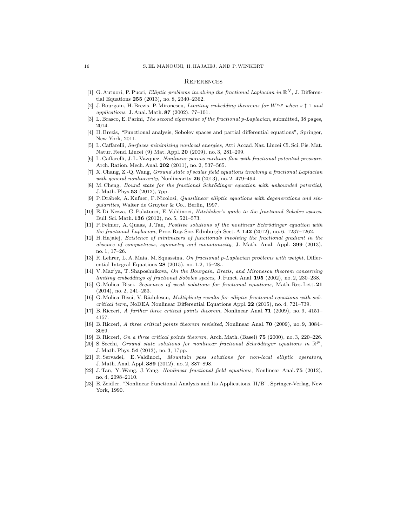#### **REFERENCES**

- <span id="page-15-1"></span>[1] G. Autuori, P. Pucci, *Elliptic problems involving the fractional Laplacian in*  $\mathbb{R}^N$ , J. Differential Equations 255 (2013), no. 8, 2340–2362.
- <span id="page-15-19"></span>[2] J. Bourgain, H. Brezis, P. Mironescu, Limiting embedding theorems for  $W^{s,p}$  when  $s \uparrow 1$  and applications, J. Anal. Math. 87 (2002), 77–101.
- <span id="page-15-20"></span>[3] L. Brasco, E. Parini, The second eigenvalue of the fractional p-Laplacian, submitted, 38 pages, 2014.
- <span id="page-15-21"></span>[4] H. Brezis, "Functional analysis, Sobolev spaces and partial differential equations", Springer, New York, 2011.
- <span id="page-15-6"></span>[5] L. Caffarelli, Surfaces minimizing nonlocal energies, Atti Accad. Naz. Lincei Cl. Sci. Fis. Mat. Natur. Rend. Lincei (9) Mat. Appl. 20 (2009), no. 3, 281–299.
- <span id="page-15-7"></span>[6] L. Caffarelli, J. L. Vazquez, Nonlinear porous medium flow with fractional potential pressure, Arch. Ration. Mech. Anal. 202 (2011), no. 2, 537–565.
- <span id="page-15-8"></span>[7] X. Chang, Z.-Q.Wang, Ground state of scalar field equations involving a fractional Laplacian with general nonlinearity, Nonlinearity  $26$  (2013), no. 2, 479–494.
- <span id="page-15-9"></span>[8] M. Cheng, Bound state for the fractional Schrödinger equation with unbounded potential, J. Math. Phys.53 (2012), 7pp.
- <span id="page-15-15"></span>[9] P. Drábek, A. Kufner, F. Nicolosi, Quasilinear elliptic equations with degenerations and singularities, Walter de Gruyter & Co., Berlin, 1997.
- <span id="page-15-14"></span>[10] E. Di Nezza, G. Palatucci, E. Valdinoci, Hitchhiker's guide to the fractional Sobolev spaces, Bull. Sci. Math. 136 (2012), no. 5, 521–573.
- <span id="page-15-10"></span>[11] P. Felmer, A. Quaas, J. Tan, Positive solutions of the nonlinear Schrödinger equation with the fractional Laplacian, Proc. Roy. Soc. Edinburgh Sect. A  $142$  (2012), no. 6, 1237–1262.
- <span id="page-15-11"></span>[12] H. Hajaiej, Existence of minimizers of functionals involving the fractional gradient in the absence of compactness, symmetry and monotonicity, J. Math. Anal. Appl. 399 (2013), no. 1, 17–26.
- <span id="page-15-4"></span>[13] R. Lehrer, L. A. Maia, M. Squassina, On fractional p-Laplacian problems with weight, Differential Integral Equations 28 (2015), no. 1-2, 15–28..
- <span id="page-15-18"></span> $[14]$  V. Maz'ya, T. Shaposhnikova, On the Bourgain, Brezis, and Mironescu theorem concerning limiting embeddings of fractional Sobolev spaces, J. Funct. Anal. 195 (2002), no. 2, 230–238.
- <span id="page-15-2"></span>[15] G. Molica Bisci, Sequences of weak solutions for fractional equations, Math. Res. Lett. 21 (2014), no. 2, 241–253.
- <span id="page-15-3"></span>[16] G. Molica Bisci, V. Rădulescu, *Multiplicity results for elliptic fractional equations with sub*critical term, NoDEA Nonlinear Differential Equations Appl. 22 (2015), no. 4, 721–739.
- <span id="page-15-0"></span>[17] B. Ricceri, A further three critical points theorem, Nonlinear Anal. 71 (2009), no. 9, 4151– 4157.
- <span id="page-15-17"></span>[18] B. Ricceri, A three critical points theorem revisited, Nonlinear Anal. **70** (2009), no. 9, 3084– 3089.
- <span id="page-15-16"></span>[19] B. Ricceri, On a three critical points theorem, Arch. Math. (Basel) 75 (2000), no. 3, 220–226.
- <span id="page-15-12"></span>[20] S. Secchi, Ground state solutions for nonlinear fractional Schrödinger equations in  $\mathbb{R}^N$ , J. Math. Phys. 54 (2013), no. 3, 17pp.
- <span id="page-15-5"></span>[21] R. Servadei, E. Valdinoci, Mountain pass solutions for non-local elliptic operators, J. Math. Anal. Appl. 389 (2012), no. 2, 887–898.
- <span id="page-15-13"></span>[22] J. Tan, Y.Wang, J. Yang, Nonlinear fractional field equations, Nonlinear Anal. 75 (2012), no. 4, 2098–2110.
- <span id="page-15-22"></span>[23] E. Zeidler, "Nonlinear Functional Analysis and Its Applications. II/B", Springer-Verlag, New York, 1990.